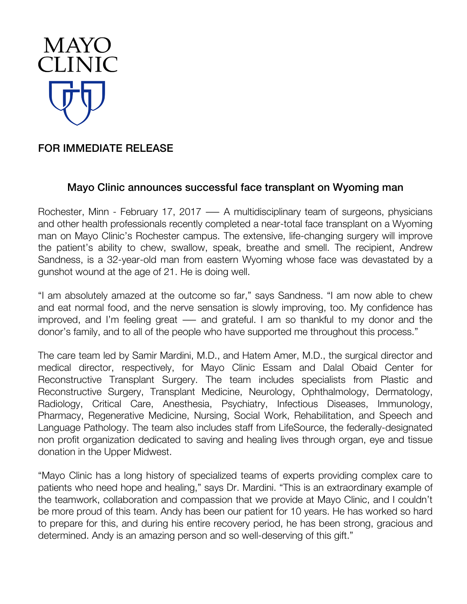

## FOR IMMEDIATE RELEASE

## Mayo Clinic announces successful face transplant on Wyoming man

Rochester, Minn - February 17, 2017 — A multidisciplinary team of surgeons, physicians and other health professionals recently completed a near-total face transplant on a Wyoming man on Mayo Clinic's Rochester campus. The extensive, life-changing surgery will improve the patient's ability to chew, swallow, speak, breathe and smell. The recipient, Andrew Sandness, is a 32-year-old man from eastern Wyoming whose face was devastated by a gunshot wound at the age of 21. He is doing well.

"I am absolutely amazed at the outcome so far," says Sandness. "I am now able to chew and eat normal food, and the nerve sensation is slowly improving, too. My confidence has improved, and I'm feeling great ― and grateful. I am so thankful to my donor and the donor's family, and to all of the people who have supported me throughout this process."

The care team led by Samir Mardini, M.D., and Hatem Amer, M.D., the surgical director and medical director, respectively, for Mayo Clinic Essam and Dalal Obaid Center for Reconstructive Transplant Surgery. The team includes specialists from Plastic and Reconstructive Surgery, Transplant Medicine, Neurology, Ophthalmology, Dermatology, Radiology, Critical Care, Anesthesia, Psychiatry, Infectious Diseases, Immunology, Pharmacy, Regenerative Medicine, Nursing, Social Work, Rehabilitation, and Speech and Language Pathology. The team also includes staff from LifeSource, the federally-designated non profit organization dedicated to saving and healing lives through organ, eye and tissue donation in the Upper Midwest.

"Mayo Clinic has a long history of specialized teams of experts providing complex care to patients who need hope and healing," says Dr. Mardini. "This is an extraordinary example of the teamwork, collaboration and compassion that we provide at Mayo Clinic, and I couldn't be more proud of this team. Andy has been our patient for 10 years. He has worked so hard to prepare for this, and during his entire recovery period, he has been strong, gracious and determined. Andy is an amazing person and so well-deserving of this gift."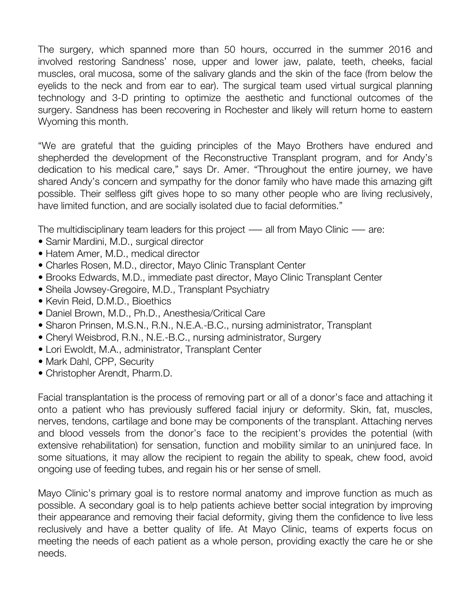The surgery, which spanned more than 50 hours, occurred in the summer 2016 and involved restoring Sandness' nose, upper and lower jaw, palate, teeth, cheeks, facial muscles, oral mucosa, some of the salivary glands and the skin of the face (from below the eyelids to the neck and from ear to ear). The surgical team used virtual surgical planning technology and 3-D printing to optimize the aesthetic and functional outcomes of the surgery. Sandness has been recovering in Rochester and likely will return home to eastern Wyoming this month.

"We are grateful that the guiding principles of the Mayo Brothers have endured and shepherded the development of the Reconstructive Transplant program, and for Andy's dedication to his medical care," says Dr. Amer. "Throughout the entire journey, we have shared Andy's concern and sympathy for the donor family who have made this amazing gift possible. Their selfless gift gives hope to so many other people who are living reclusively, have limited function, and are socially isolated due to facial deformities."

The multidisciplinary team leaders for this project — all from Mayo Clinic — are:

- Samir Mardini, M.D., surgical director
- Hatem Amer, M.D., medical director
- Charles Rosen, M.D., director, Mayo Clinic Transplant Center
- Brooks Edwards, M.D., immediate past director, Mayo Clinic Transplant Center
- Sheila Jowsey-Gregoire, M.D., Transplant Psychiatry
- Kevin Reid, D.M.D., Bioethics
- Daniel Brown, M.D., Ph.D., Anesthesia/Critical Care
- Sharon Prinsen, M.S.N., R.N., N.E.A.-B.C., nursing administrator, Transplant
- Cheryl Weisbrod, R.N., N.E.-B.C., nursing administrator, Surgery
- Lori Ewoldt, M.A., administrator, Transplant Center
- Mark Dahl, CPP, Security
- Christopher Arendt, Pharm.D.

Facial transplantation is the process of removing part or all of a donor's face and attaching it onto a patient who has previously suffered facial injury or deformity. Skin, fat, muscles, nerves, tendons, cartilage and bone may be components of the transplant. Attaching nerves and blood vessels from the donor's face to the recipient's provides the potential (with extensive rehabilitation) for sensation, function and mobility similar to an uninjured face. In some situations, it may allow the recipient to regain the ability to speak, chew food, avoid ongoing use of feeding tubes, and regain his or her sense of smell.

Mayo Clinic's primary goal is to restore normal anatomy and improve function as much as possible. A secondary goal is to help patients achieve better social integration by improving their appearance and removing their facial deformity, giving them the confidence to live less reclusively and have a better quality of life. At Mayo Clinic, teams of experts focus on meeting the needs of each patient as a whole person, providing exactly the care he or she needs.